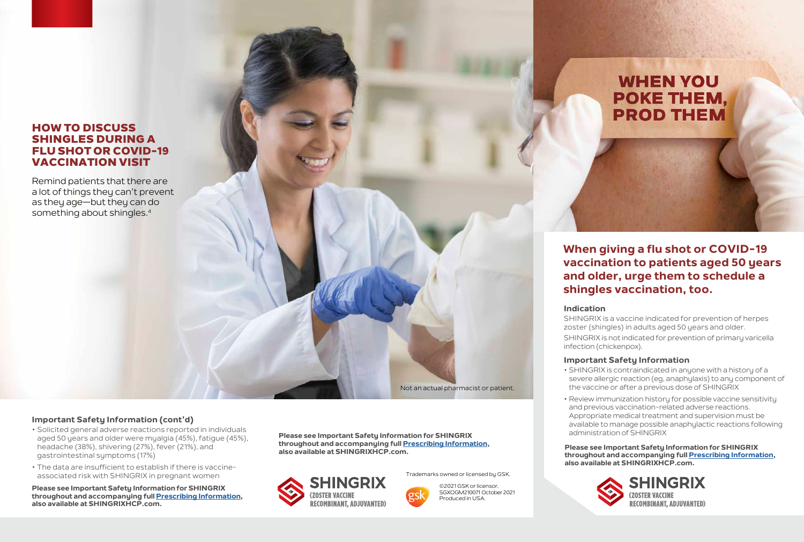# HOW TO DISCUSS SHINGLES DURING A FLU SHOT OR COVID-19 VACCINATION VISIT

Remind patients that there are a lot of things they can't prevent as they age—but they can do something about shingles.<sup>4</sup>

#### **Important Safety Information (cont'd)**

- Solicited general adverse reactions reported in individuals aged 50 years and older were myalgia (45%), fatigue (45%), headache (38%), shivering (27%), fever (21%), and gastrointestinal symptoms (17%)
- The data are insufficient to establish if there is vaccineassociated risk with SHINGRIX in pregnant women

**Please see Important Safety Information for SHINGRIX throughout and accompanying full Prescribing Information, also available at SHINGRIXHCP.com.**

**Please see Important Safety Information for SHINGRIX throughout and accompanying full Prescribing Information, also available at SHINGRIXHCP.com.**

**ZOSTER VACCINE** 



Not an actual pharmacist or patient.



©2021 GSK or licensor. SGXOGM210071 October 2021 Produced in USA.

# **PROD THEM**

**WHEN YOU** 

**POKE THEM,** 

**When giving a flu shot or COVID-19 vaccination to patients aged 50 years and older, urge them to schedule a shingles vaccination, too.**

#### **Indication**

SHINGRIX is a vaccine indicated for prevention of herpes zoster (shingles) in adults aged 50 years and older.

SHINGRIX is not indicated for prevention of primary varicella infection (chickenpox).

#### **Important Safety Information**

- SHINGRIX is contraindicated in anyone with a history of a severe allergic reaction (eg, anaphylaxis) to any component of the vaccine or after a previous dose of SHINGRIX
- Review immunization history for possible vaccine sensitivity and previous vaccination-related adverse reactions. Appropriate medical treatment and supervision must be available to manage possible anaphylactic reactions following administration of SHINGRIX

**Please see Important Safety Information for SHINGRIX throughout and accompanying full Prescribing Information, also available at SHINGRIXHCP.com.**